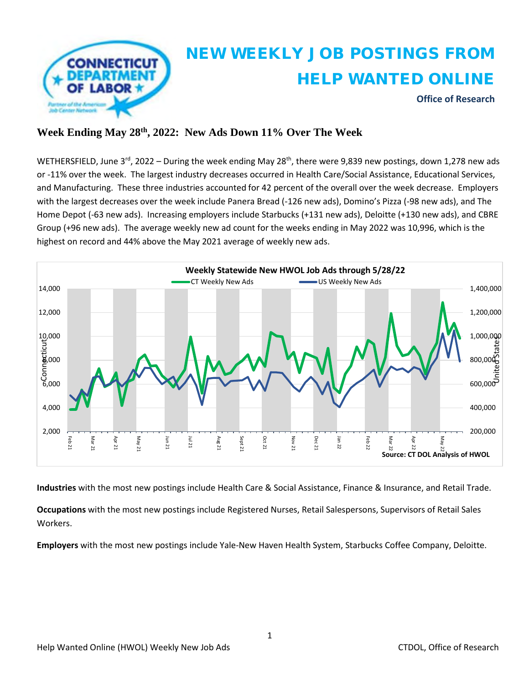

### **Week Ending May 28th , 2022: New Ads Down 11% Over The Week**

WETHERSFIELD, June 3<sup>rd</sup>, 2022 – During the week ending May 28<sup>th</sup>, there were 9,839 new postings, down 1,278 new ads or -11% over the week. The largest industry decreases occurred in Health Care/Social Assistance, Educational Services, and Manufacturing. These three industries accounted for 42 percent of the overall over the week decrease. Employers with the largest decreases over the week include Panera Bread (-126 new ads), Domino's Pizza (-98 new ads), and The Home Depot (-63 new ads). Increasing employers include Starbucks (+131 new ads), Deloitte (+130 new ads), and CBRE Group (+96 new ads). The average weekly new ad count for the weeks ending in May 2022 was 10,996, which is the highest on record and 44% above the May 2021 average of weekly new ads.



**Industries** with the most new postings include Health Care & Social Assistance, Finance & Insurance, and Retail Trade.

**Occupations** with the most new postings include Registered Nurses, Retail Salespersons, Supervisors of Retail Sales Workers.

**Employers** with the most new postings include Yale-New Haven Health System, Starbucks Coffee Company, Deloitte.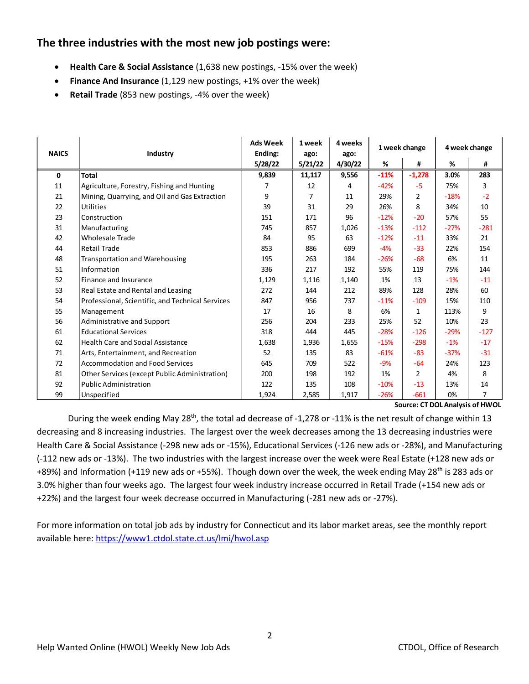## **The three industries with the most new job postings were:**

- **Health Care & Social Assistance** (1,638 new postings, -15% over the week)
- **Finance And Insurance** (1,129 new postings, +1% over the week)
- **Retail Trade** (853 new postings, -4% over the week)

| <b>NAICS</b> | Industry                                         | <b>Ads Week</b><br>Ending: | 1 week<br>ago: | 4 weeks<br>ago: | 1 week change |                | 4 week change |                |
|--------------|--------------------------------------------------|----------------------------|----------------|-----------------|---------------|----------------|---------------|----------------|
|              |                                                  | 5/28/22                    | 5/21/22        | 4/30/22         | %             | #              | %             | #              |
| $\mathbf 0$  | <b>Total</b>                                     | 9,839                      | 11,117         | 9,556           | $-11%$        | $-1,278$       | 3.0%          | 283            |
| 11           | Agriculture, Forestry, Fishing and Hunting       | 7                          | 12             | 4               | $-42%$        | -5             | 75%           | 3              |
| 21           | Mining, Quarrying, and Oil and Gas Extraction    | 9                          | 7              | 11              | 29%           | $\overline{2}$ | $-18%$        | $-2$           |
| 22           | Utilities                                        | 39                         | 31             | 29              | 26%           | 8              | 34%           | 10             |
| 23           | <b>Construction</b>                              | 151                        | 171            | 96              | $-12%$        | $-20$          | 57%           | 55             |
| 31           | Manufacturing                                    | 745                        | 857            | 1,026           | $-13%$        | $-112$         | $-27%$        | $-281$         |
| 42           | Wholesale Trade                                  | 84                         | 95             | 63              | $-12%$        | $-11$          | 33%           | 21             |
| 44           | <b>Retail Trade</b>                              | 853                        | 886            | 699             | $-4%$         | $-33$          | 22%           | 154            |
| 48           | <b>Transportation and Warehousing</b>            | 195                        | 263            | 184             | $-26%$        | $-68$          | 6%            | 11             |
| 51           | Information                                      | 336                        | 217            | 192             | 55%           | 119            | 75%           | 144            |
| 52           | Finance and Insurance                            | 1,129                      | 1,116          | 1,140           | 1%            | 13             | $-1%$         | $-11$          |
| 53           | Real Estate and Rental and Leasing               | 272                        | 144            | 212             | 89%           | 128            | 28%           | 60             |
| 54           | Professional, Scientific, and Technical Services | 847                        | 956            | 737             | $-11%$        | $-109$         | 15%           | 110            |
| 55           | Management                                       | 17                         | 16             | 8               | 6%            | $\mathbf{1}$   | 113%          | 9              |
| 56           | Administrative and Support                       | 256                        | 204            | 233             | 25%           | 52             | 10%           | 23             |
| 61           | <b>Educational Services</b>                      | 318                        | 444            | 445             | $-28%$        | $-126$         | $-29%$        | $-127$         |
| 62           | <b>Health Care and Social Assistance</b>         | 1,638                      | 1,936          | 1,655           | $-15%$        | $-298$         | $-1%$         | $-17$          |
| 71           | Arts, Entertainment, and Recreation              | 52                         | 135            | 83              | $-61%$        | $-83$          | $-37%$        | $-31$          |
| 72           | Accommodation and Food Services                  | 645                        | 709            | 522             | $-9%$         | -64            | 24%           | 123            |
| 81           | Other Services (except Public Administration)    | 200                        | 198            | 192             | 1%            | $\overline{2}$ | 4%            | 8              |
| 92           | Public Administration                            | 122                        | 135            | 108             | $-10%$        | $-13$          | 13%           | 14             |
| 99           | Unspecified                                      | 1,924                      | 2,585          | 1,917           | $-26%$        | $-661$         | 0%            | $\overline{7}$ |
|              | Source: CT DOL Analysis of HWOL                  |                            |                |                 |               |                |               |                |
|              |                                                  |                            |                |                 |               |                |               |                |

During the week ending May 28<sup>th</sup>, the total ad decrease of -1,278 or -11% is the net result of change within 13 decreasing and 8 increasing industries. The largest over the week decreases among the 13 decreasing industries were Health Care & Social Assistance (-298 new ads or -15%), Educational Services (-126 new ads or -28%), and Manufacturing (-112 new ads or -13%). The two industries with the largest increase over the week were Real Estate (+128 new ads or +89%) and Information (+119 new ads or +55%). Though down over the week, the week ending May 28<sup>th</sup> is 283 ads or 3.0% higher than four weeks ago. The largest four week industry increase occurred in Retail Trade (+154 new ads or +22%) and the largest four week decrease occurred in Manufacturing (-281 new ads or -27%).

For more information on total job ads by industry for Connecticut and its labor market areas, see the monthly report available here:<https://www1.ctdol.state.ct.us/lmi/hwol.asp>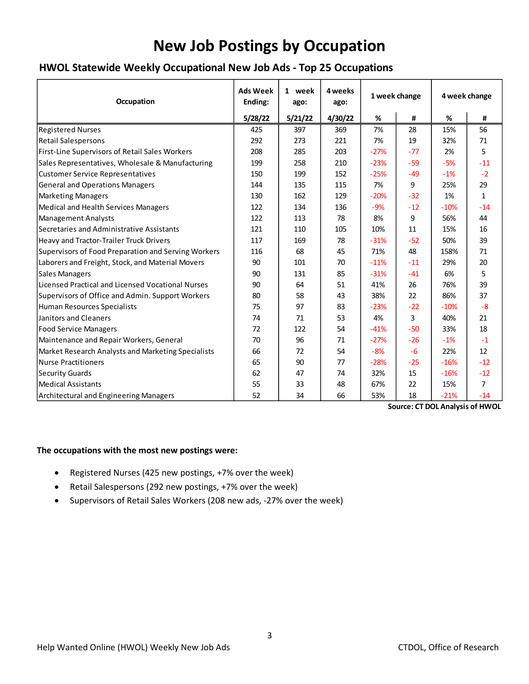# **New Job Postings by Occupation**

## **HWOL Statewide Weekly Occupational New Job Ads - Top 25 Occupations**

| <b>Occupation</b>                                   | <b>Ads Week</b><br>Ending: | 1 week<br>ago: | 4 weeks<br>ago: | 1 week change |       | 4 week change |                |
|-----------------------------------------------------|----------------------------|----------------|-----------------|---------------|-------|---------------|----------------|
|                                                     | 5/28/22                    | 5/21/22        | 4/30/22         | %             | #     | %             | #              |
| <b>Registered Nurses</b>                            | 425                        | 397            | 369             | 7%            | 28    | 15%           | 56             |
| <b>Retail Salespersons</b>                          | 292                        | 273            | 221             | 7%            | 19    | 32%           | 71             |
| First-Line Supervisors of Retail Sales Workers      | 208                        | 285            | 203             | $-27%$        | $-77$ | 2%            | 5              |
| Sales Representatives, Wholesale & Manufacturing    | 199                        | 258            | 210             | $-23%$        | $-59$ | $-5%$         | $-11$          |
| <b>Customer Service Representatives</b>             | 150                        | 199            | 152             | $-25%$        | $-49$ | $-1%$         | $-2$           |
| <b>General and Operations Managers</b>              | 144                        | 135            | 115             | 7%            | 9     | 25%           | 29             |
| <b>Marketing Managers</b>                           | 130                        | 162            | 129             | $-20%$        | $-32$ | 1%            | $\mathbf{1}$   |
| Medical and Health Services Managers                | 122                        | 134            | 136             | $-9%$         | $-12$ | $-10%$        | $-14$          |
| <b>Management Analysts</b>                          | 122                        | 113            | 78              | 8%            | 9     | 56%           | 44             |
| Secretaries and Administrative Assistants           | 121                        | 110            | 105             | 10%           | 11    | 15%           | 16             |
| Heavy and Tractor-Trailer Truck Drivers             | 117                        | 169            | 78              | $-31%$        | $-52$ | 50%           | 39             |
| Supervisors of Food Preparation and Serving Workers | 116                        | 68             | 45              | 71%           | 48    | 158%          | 71             |
| Laborers and Freight, Stock, and Material Movers    | 90                         | 101            | 70              | $-11%$        | $-11$ | 29%           | 20             |
| <b>Sales Managers</b>                               | 90                         | 131            | 85              | $-31%$        | $-41$ | 6%            | 5              |
| Licensed Practical and Licensed Vocational Nurses   | 90                         | 64             | 51              | 41%           | 26    | 76%           | 39             |
| Supervisors of Office and Admin. Support Workers    | 80                         | 58             | 43              | 38%           | 22    | 86%           | 37             |
| Human Resources Specialists                         | 75                         | 97             | 83              | $-23%$        | $-22$ | $-10%$        | $-8$           |
| <b>Janitors and Cleaners</b>                        | 74                         | 71             | 53              | 4%            | 3     | 40%           | 21             |
| <b>Food Service Managers</b>                        | 72                         | 122            | 54              | $-41%$        | $-50$ | 33%           | 18             |
| Maintenance and Repair Workers, General             | 70                         | 96             | 71              | $-27%$        | $-26$ | $-1%$         | $-1$           |
| Market Research Analysts and Marketing Specialists  | 66                         | 72             | 54              | $-8%$         | $-6$  | 22%           | 12             |
| <b>Nurse Practitioners</b>                          | 65                         | 90             | 77              | $-28%$        | $-25$ | $-16%$        | $-12$          |
| <b>Security Guards</b>                              | 62                         | 47             | 74              | 32%           | 15    | $-16%$        | $-12$          |
| <b>Medical Assistants</b>                           | 55                         | 33             | 48              | 67%           | 22    | 15%           | $\overline{7}$ |
| Architectural and Engineering Managers              | 52                         | 34             | 66              | 53%           | 18    | $-21%$        | $-14$          |

**Source: CT DOL Analysis of HWOL**

#### **The occupations with the most new postings were:**

- Registered Nurses (425 new postings, +7% over the week)
- Retail Salespersons (292 new postings, +7% over the week)
- Supervisors of Retail Sales Workers (208 new ads, -27% over the week)